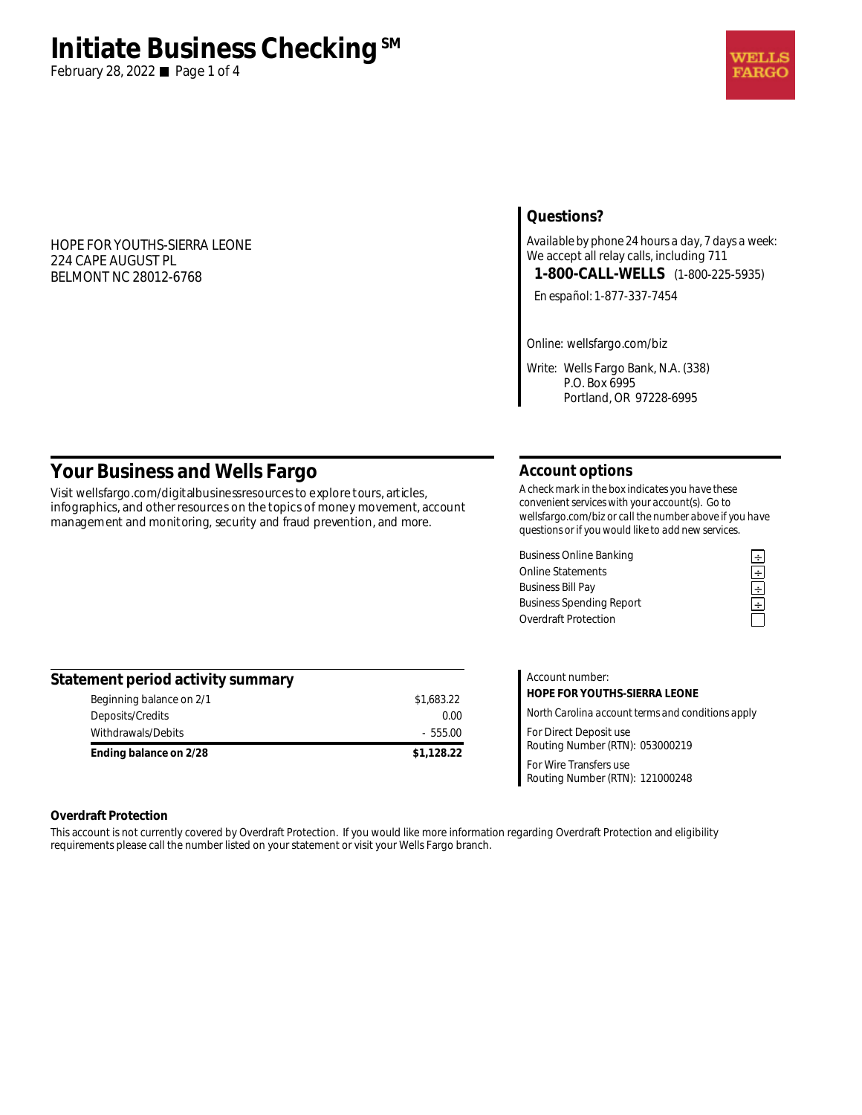# **Initiate Business Checking**<sup>SM</sup>

February 28, 2022 Page 1 of 4

### HOPE FOR YOUTHS-SIERRA LEONE 224 CAPE AUGUST PL BELMONT NC 28012-6768

### **Questions?**

*Available by phone 24 hours a day, 7 days a week:*  We accept all relay calls, including 711 **1-800-CALL-WELLS** (1-800-225-5935)

*En español:* 1-877-337-7454

*Online:* wellsfargo.com/biz

*Write:* Wells Fargo Bank, N.A. (338) P.O. Box 6995 Portland, OR 97228-6995

## **Your Business and Wells Fargo**

Visit wellsfargo.com/digitalbusinessresources to explore tours, articles, infographics, and other resources on the topics of money movement, account management and monitoring, security and fraud prevention, and more.

### **Account options**

*A check mark in the box indicates you have these convenient services with your account(s). Go to wellsfargo.com/biz or call the number above if you have questions or if you would like to add new services.* 

Business Online Banking<br>
Online Statements<br>
Business Bill Pay<br> **Example 2**<br>
Business Spending Report<br> **Example 2**<br> **Example 2**<br> **Example 2**<br> **Example 2**<br> **Example 2**<br> **Example 2** Online Statements **÷ Business Bill Pay Business Spending Report** Overdraft Protection

| Statement period activity summary |            |
|-----------------------------------|------------|
| Beginning balance on 2/1          | \$1,683.22 |
| Deposits/Credits                  | 0.00       |
| Withdrawals/Debits                | $-555.00$  |
| Ending balance on 2/28            | \$1,128.22 |

| Account number:                                           |  |  |
|-----------------------------------------------------------|--|--|
| HOPE FOR YOUTHS-SIERRA LEONE                              |  |  |
| North Carolina account terms and conditions apply         |  |  |
| For Direct Deposit use<br>Routing Number (RTN): 053000219 |  |  |
| For Wire Transfers use<br>Routing Number (RTN): 121000248 |  |  |

### **Overdraft Protection**

This account is not currently covered by Overdraft Protection. If you would like more information regarding Overdraft Protection and eligibility requirements please call the number listed on your statement or visit your Wells Fargo branch.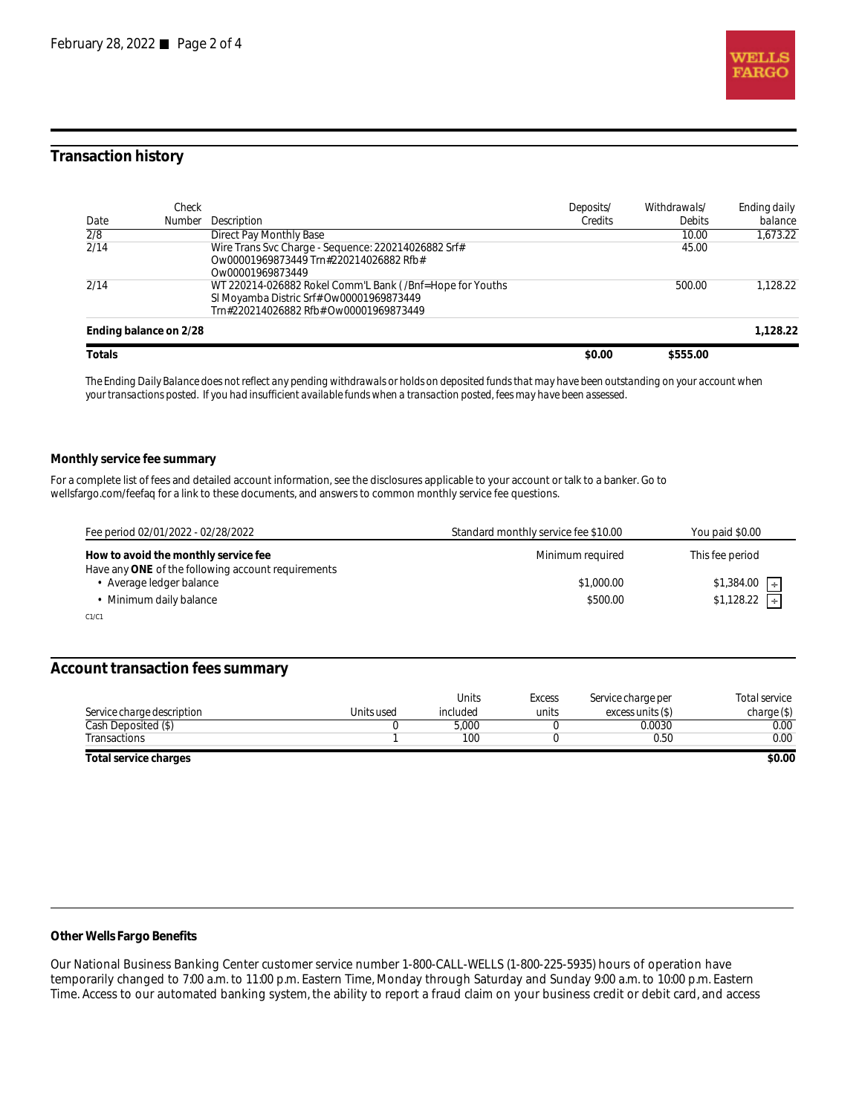

### **Transaction history**

| Date             | Check<br>Number        | Description                                                                                                                                    | Deposits/<br>Credits | Withdrawals/<br><b>Debits</b> | Ending daily<br>balance |
|------------------|------------------------|------------------------------------------------------------------------------------------------------------------------------------------------|----------------------|-------------------------------|-------------------------|
| $\overline{2/8}$ |                        | Direct Pay Monthly Base                                                                                                                        |                      | 10.00                         | 1.673.22                |
| 2/14             |                        | Wire Trans Svc Charge - Sequence: 220214026882 Srf#<br>Ow00001969873449 Trn#220214026882 Rfb#<br>Qw00001969873449                              |                      | 45.00                         |                         |
| 2/14             |                        | WT 220214-026882 Rokel Comm'L Bank (/Bnf=Hope for Youths<br>SI Moyamba Distric Srf# Ow00001969873449<br>Trn#220214026882 Rfb# Ow00001969873449 |                      | 500.00                        | 1.128.22                |
|                  | Ending balance on 2/28 |                                                                                                                                                |                      |                               | 1.128.22                |
| Totals           |                        |                                                                                                                                                | \$0.00               | \$555.00                      |                         |

*The Ending Daily Balance does not reflect any pending withdrawals or holds on deposited funds that may have been outstanding on your account when your transactions posted. If you had insufficient available funds when a transaction posted, fees may have been assessed.* 

#### **Monthly service fee summary**

For a complete list of fees and detailed account information, see the disclosures applicable to your account or talk to a banker. Go to wellsfargo.com/feefaq for a link to these documents, and answers to common monthly service fee questions.

| Fee period 02/01/2022 - 02/28/2022                                                         | Standard monthly service fee \$10.00 | You paid \$0.00       |
|--------------------------------------------------------------------------------------------|--------------------------------------|-----------------------|
| How to avoid the monthly service fee<br>Have any ONE of the following account requirements | Minimum required                     | This fee period       |
| Average ledger balance                                                                     | \$1,000.00                           | \$1,384.00<br>$\pm$   |
| Minimum daily balance                                                                      | \$500.00                             | \$1,128.22<br>$\perp$ |
| C1/C1                                                                                      |                                      |                       |

#### **Account transaction fees summary**

| Service charge description | Units used | <b>Units</b><br>included | <b>Excess</b><br>units | Service charge per<br>excess units (\$) | Total service<br>charge(S) |
|----------------------------|------------|--------------------------|------------------------|-----------------------------------------|----------------------------|
| Cash Deposited (\$)        |            | 5.000                    |                        | 0.0030                                  | 0.00                       |
| Transactions               |            | 100                      |                        | 0.50                                    | 0.00                       |
| Total service charges      |            |                          |                        |                                         | \$0.00                     |

### **Other Wells Fargo Benefits**

Our National Business Banking Center customer service number 1-800-CALL-WELLS (1-800-225-5935) hours of operation have temporarily changed to 7:00 a.m. to 11:00 p.m. Eastern Time, Monday through Saturday and Sunday 9:00 a.m. to 10:00 p.m. Eastern Time. Access to our automated banking system, the ability to report a fraud claim on your business credit or debit card, and access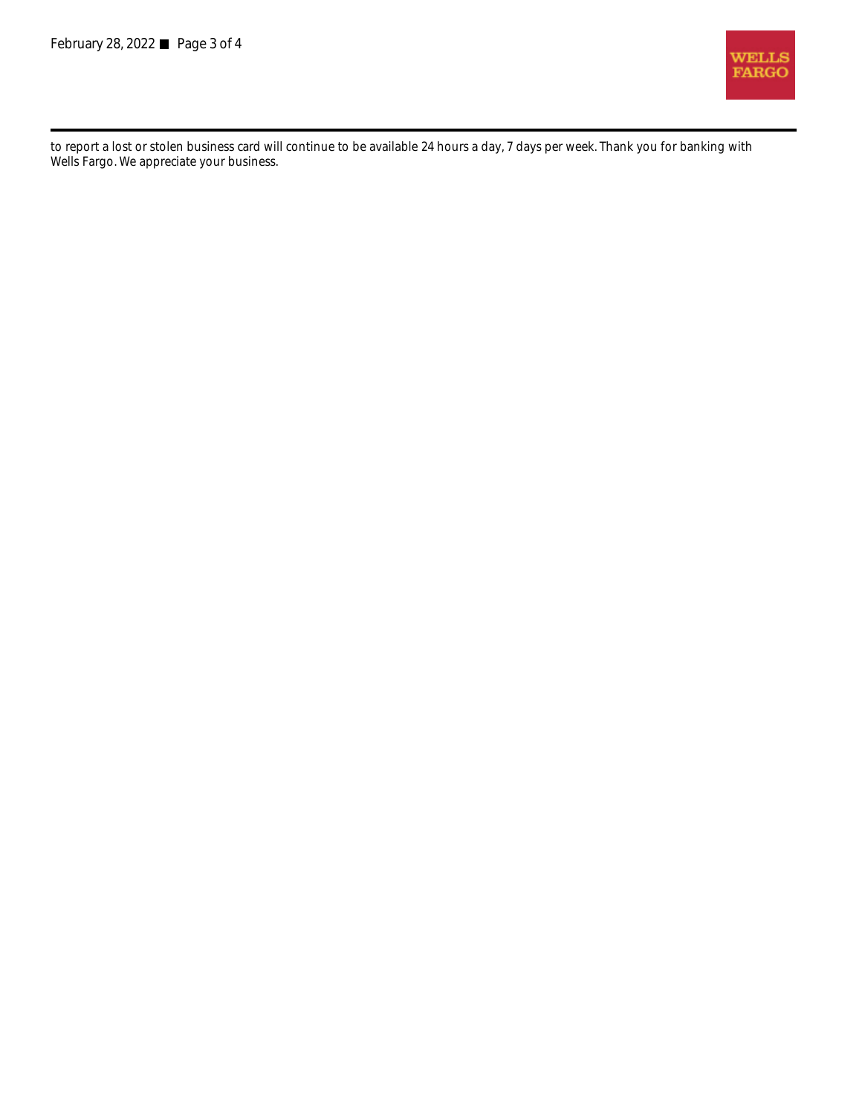

to report a lost or stolen business card will continue to be available 24 hours a day, 7 days per week. Thank you for banking with Wells Fargo. We appreciate your business.